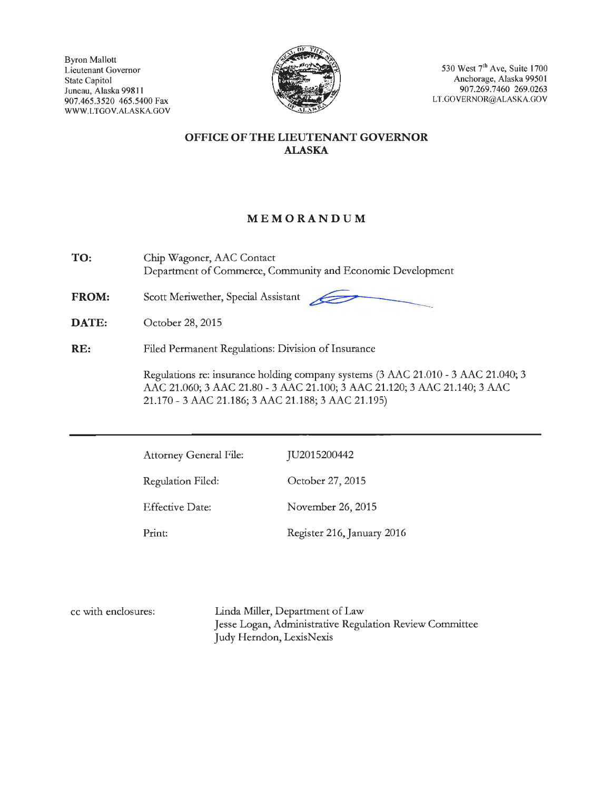Byron Mallott Lieutenant Governor State Capitol Juneau, Alaska 99811 907.465.3520 465.5400 Fax WWW.LTGOV.ALASKA.GOV



530 West  $7<sup>th</sup>$  Ave, Suite 1700 Anchorage, Alaska 9950 I 907.269.7460 269.0263 LT.GOVERNOR@ALASKA.GOV

## **OFFICE OF THE LIEUTENANT GOVERNOR ALASKA**

# **MEMORANDUM**

**TO:**  Chip Wagoner, AAC Contact Department of Commerce, Community and Economic Development MEMORANDUM<br>
NC Contact<br>
mmerce, Community and Economic Development<br>
Special Assistant

**FROM:**  Scott Meriwether, Special Assistant

**DATE:**  October 28, 2015

**RE:**  Filed Permanent Regulations: Division of Insurance

> Regulations re: insurance holding company systems (3 AAC 21.010 - 3 AAC 21.040; 3 AAC 21.060; 3 AAC 21.80 - 3 AAC 21.100; 3 AAC 21.120; 3 AAC 21.140; 3 AAC 21.170 - 3 AAC 21.186; 3 AAC 21.188; 3 AAC 21.195)

| <b>Attorney General File:</b> | JU2015200442               |
|-------------------------------|----------------------------|
| Regulation Filed:             | October 27, 2015           |
| <b>Effective Date:</b>        | November 26, 2015          |
| Print:                        | Register 216, January 2016 |

cc with enclosures: Linda Miller, Department of Law Jesse Logan, Administrative Regulation Review Committee Judy Herndon, LexisNexis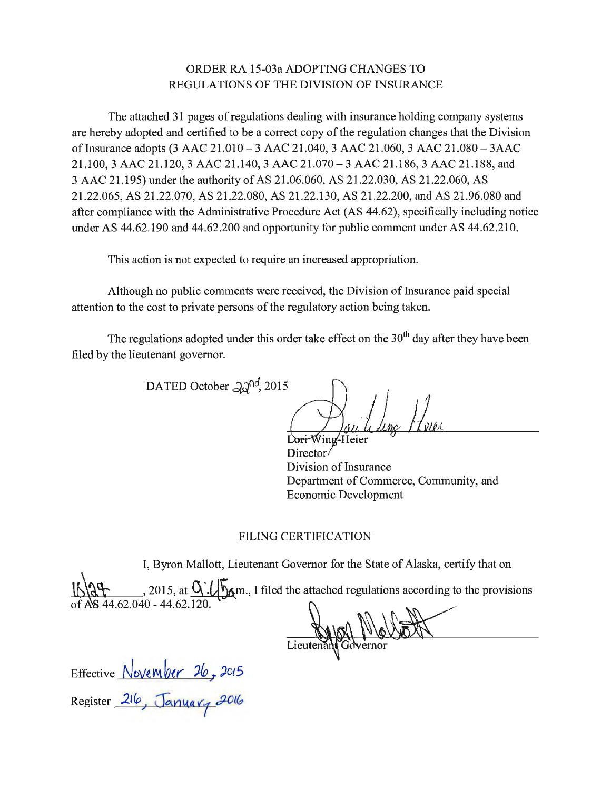# ORDER RA 15-03a ADOPTING CHANGES TO REGULATIONS OF THE DIVISION OF INSURANCE

The attached 31 pages of regulations dealing with insurance holding company systems are hereby adopted and certified to be a correct copy of the regulation changes that the Division of Insurance adopts (3 AAC 21.010-3 AAC 21.040, 3 AAC 21.060, 3 AAC 21.080-3AAC 21.100, 3 AAC 21.120, 3 AAC 21.140, 3 AAC 21.070-3 AAC 21.186, 3 AAC 21.188, and 3 AAC 21.195) under the authority of AS 21.06.060, AS 21.22.030, AS 21.22.060, AS 21.22.065, AS 21.22.070, AS 21.22.080, AS 21.22.130, AS 21.22.200, and AS 21.96.080 and after compliance with the Administrative Procedure Act (AS 44.62), specifically including notice under AS 44.62.190 and 44.62.200 and opportunity for public comment under AS 44.62.210.

This action is not expected to require an increased appropriation.

Although no public comments were received, the Division of Insurance paid special attention to the cost to private persons of the regulatory action being taken.

The regulations adopted under this order take effect on the  $30<sup>th</sup>$  day after they have been filed by the lieutenant governor.

DATED October  $20^{nd}$ , 2015

Lori Wing-Heier Director/ Division of Insurance Department of Commerce, Community, and Economic Development

## FILING CERTIFICATION

I, Byron Mallott, Lieutenant Governor for the State of Alaska, certify that on

 $\{\sqrt{2\pi}, 2015, \text{at } \frac{1}{2}\}$ ,  $\{\sqrt{5}, 4\}$  m., I filed the attached regulations according to the provisions I, Byron Mallott, Lieutenant Governor for the State of Alaska, certify that on<br>  $\sqrt{\frac{1000}{100}}$ , 2015, at  $\frac{0.7}{100}$  am., I filed the attached regulations according to the provisions<br>  $\sqrt{\frac{1000}{100}}$ 

Lieutenant Governor

Effective  $November$   $26, 2015$ Register *2t(p,,· J;.nYa v-1* ,j)(J <sup>~</sup>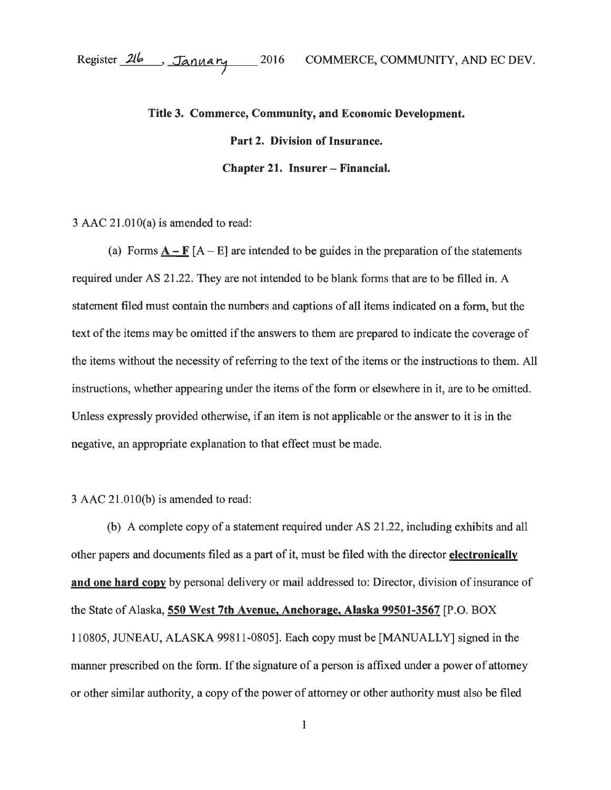# **Title 3. Commerce, Community, and Economic Development. Part 2. Division of Insurance. Chapter 21. Insurer- Financial.**

 $3$  AAC 21.010(a) is amended to read:

(a) Forms  $\mathbf{A} - \mathbf{F}$  [A – E] are intended to be guides in the preparation of the statements required under AS 21.22. They are not intended to be blank forms that are to be filled in. A statement filed must contain the numbers and captions of all items indicated on a form, but the text of the items may be omitted if the answers to them are prepared to indicate the coverage of the items without the necessity of referring to the text of the items or the instructions to them. All instructions, whether appearing under the items of the form or elsewhere in it, are to be omitted. Unless expressly provided otherwise, if an item is not applicable or the answer to it is in the negative, an appropriate explanation to that effect must be made.

#### 3 AAC 21.0lO(b) is amended to read:

(b) A complete copy of a statement required under AS 21.22, including exhibits and all other papers and documents filed as a part of it, must be filed with the director **electronically and one hard copy** by personal delivery or mail addressed to: Director, division of insurance of the State of Alaska, **550 West 7th Avenue, Anchorage, Alaska 99501-3567** [P.O. BOX 110805, JUNEAU, ALASKA 99811-0805]. Each copy must be [MANUALLY] signed in the manner prescribed on the form. If the signature of a person is affixed under a power of attorney or other similar authority, a copy of the power of attorney or other authority must also be filed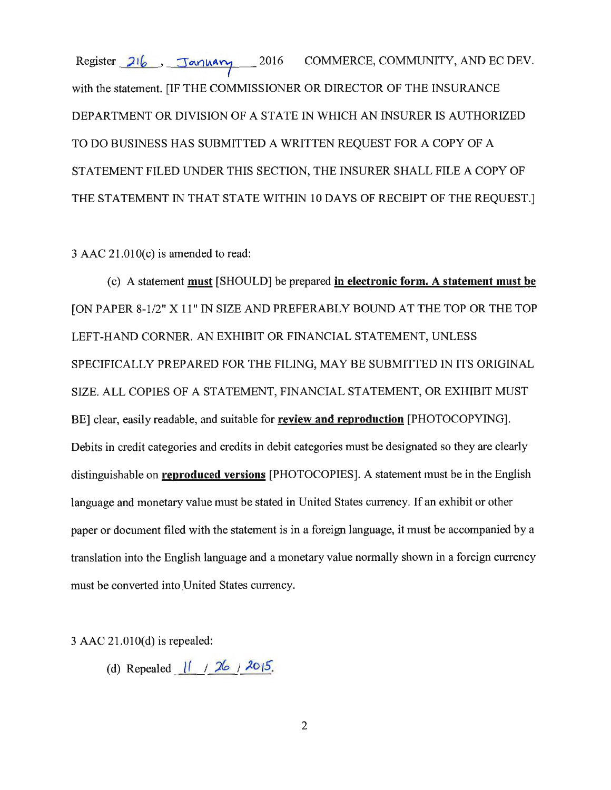Register  $216$ , January 2016 COMMERCE, COMMUNITY, AND EC DEV. with the statement. [IF THE COMMISSIONER OR DIRECTOR OF THE INSURANCE DEPARTMENT OR DIVISION OF A STATE IN WHICH AN INSURER IS AUTHORIZED TO DO BUSINESS HAS SUBMITTED A WRITTEN REQUEST FOR A COPY OF A STATEMENT FILED UNDER THIS SECTION, THE INSURER SHALL FILE A COPY OF THE STATEMENT IN THAT STATE WITHIN 10 DAYS OF RECEIPT OF THE REQUEST.]

 $3$  AAC  $21.010(c)$  is amended to read:

(c) A statement **must** [SHOULD] be prepared **in electronic form. A statement must be**  [ON PAPER 8-1/2" X 11" IN SIZE AND PREFERABLY BOUND ATTHE TOP OR THE TOP LEFT-HAND CORNER. AN EXHIBIT OR FINANCIAL STATEMENT, UNLESS SPECIFICALLY PREPARED FOR THE FILING, MAY BE SUBMITTED IN ITS ORIGINAL SIZE. ALL COPIES OF A STATEMENT, FINANCIAL STATEMENT, OR EXHIBIT MUST BE] clear, easily readable, and suitable for **review and reproduction** [PHOTOCOPYING]. Debits in credit categories and credits in debit categories must be designated so they are clearly distinguishable on **reproduced versions** [PHOTOCOPIES]. A statement must be in the English language and monetary value must be stated in United States currency. If an exhibit or other paper or document filed with the statement is in a foreign language, it must be accompanied by a translation into the English language and a monetary value normally shown in a foreign currency must be converted into United States currency.

3 AAC 21.0lO(d) is repealed:

(d) Repealed  $\frac{1}{\sqrt{26}}$  / 2015.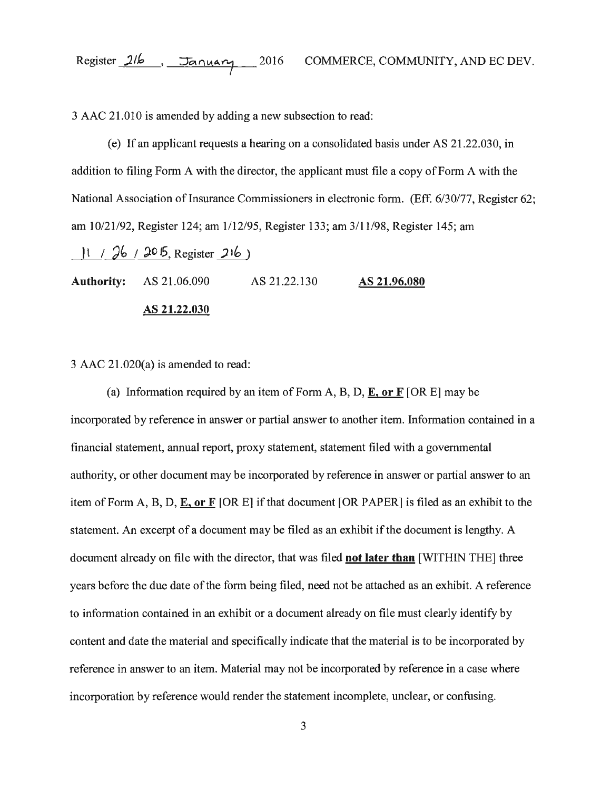3 AAC 21.010 is amended by adding a new subsection to read:

( e) If an applicant requests a hearing on a consolidated basis under AS 21.22.030, in addition to filing Form A with the director, the applicant must file a copy of Form A with the National Association of Insurance Commissioners in electronic form. (Eff. 6/30/77, Register 62; am 10/21/92, Register 124; am 1/12/95, Register 133; am 3/11/98, Register 145; am

 $11 / 26 / 205$ , Register 216)

**Authority:** AS 21.06.090 AS 21.22.130 AS **21.96.080** 

#### AS **21.22.030**

3 AAC 21.020(a) is amended to read:

(a) Information required by an item of Form A, B, D, E, **or F** [ORE] may be incorporated by reference in answer or partial answer to another item. Information contained in a financial statement, annual report, proxy statement, statement filed with a governmental authority, or other document may be incorporated by reference in answer or partial answer to an item of Form A, B, D, E, or F [OR E] if that document [OR PAPER] is filed as an exhibit to the statement. An excerpt of a document may be filed as an exhibit if the document is lengthy. A document already on file with the director, that was filed **not later than** [WITHIN THE] three years before the due date of the form being filed, need not be attached as an exhibit. A reference to information contained in an exhibit or a document already on file must clearly identify by content and date the material and specifically indicate that the material is to be incorporated by reference in answer to an item. Material may not be incorporated by reference in a case where incorporation by reference would render the statement incomplete, unclear, or confusing.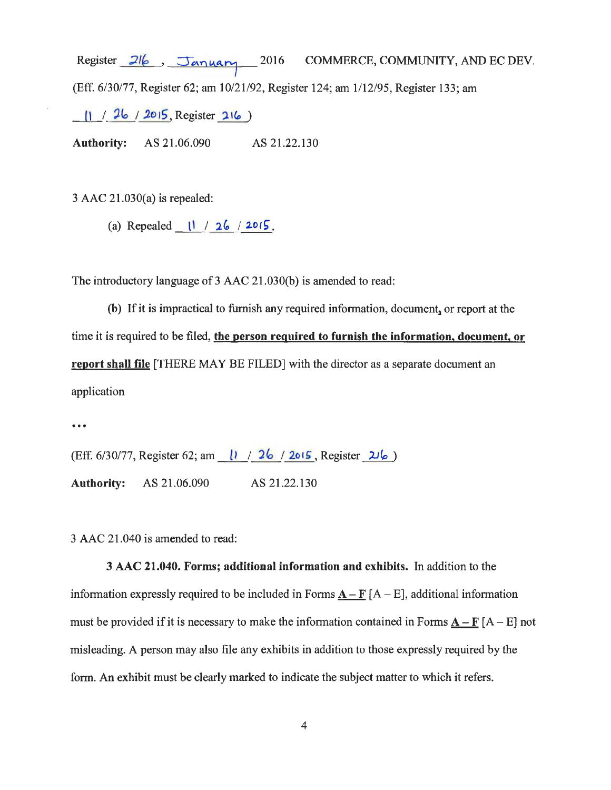Register  $21/$ , January 2016 COMMERCE, COMMUNITY, AND EC DEV. (Eff. 6/30/77, Register 62; am 10/21/92, Register 124; am 1/12/95, Register 133; am  $\frac{11}{26}$  / 2015, Register 216)

**Authority:** AS 21.06.090 AS 21.22.130

3 AAC 21.030(a) is repealed:

(a) Repealed \_ ll\_ /\_JJ\_j **2.otf; .** 

The introductory language of 3 AAC 21.030(b) is amended to read:

(b) If it is impractical to furnish any required information, document, or report at the time it is required to be filed, **the person required to furnish the information, document, or report shall file** [THERE MAY BE FILED] with the director as a separate document an application

...

(Eff. 6/30/77, Register 62; am | 1 | 26 | 2015, Register 216) **Authority:** AS 21.06.090 AS 21.22.130

3 AAC 21.040 is amended to read:

**3 AAC 21.040. Forms; additional information and exhibits.** In addition to the information expressly required to be included in Forms  $A - F[A - E]$ , additional information must be provided if it is necessary to make the information contained in Forms  $\underline{A-F}[A-E]$  not misleading. A person may also file any exhibits in addition to those expressly required by the form. An exhibit must be clearly marked to indicate the subject matter to which it refers.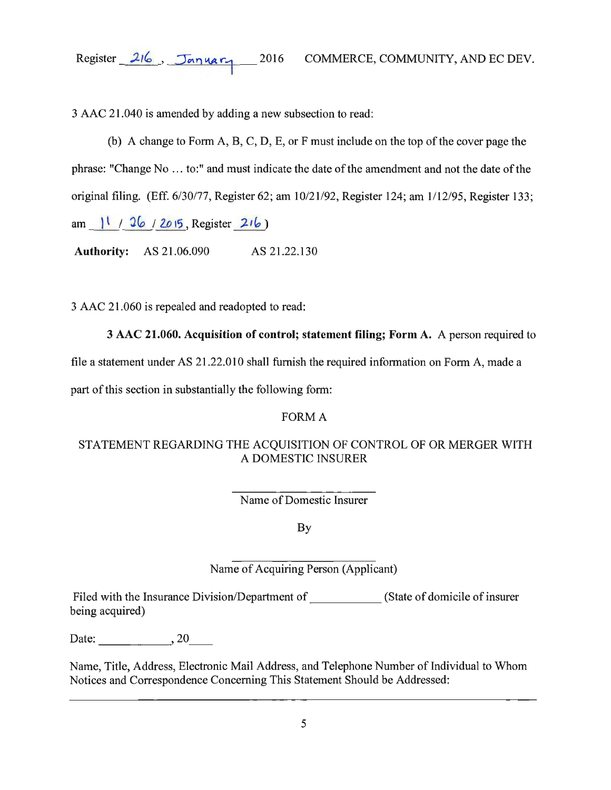Register 216, January

3 AAC 21.040 is amended by adding a new subsection to read:

(b) A change to Form A, B, C, D, E, or F must include on the top of the cover page the phrase: "Change No ... to:" and must indicate the date of the amendment and not the date of the original filing. (Eff. 6/30/77, Register 62; am 10/21/92, Register 124; am 1/12/95, Register 133; am  $\frac{11}{26}$  / 2015, Register 216)

Authority: AS 21.06.090 AS 21.22.130

3 AAC 21.060 is repealed and readopted to read:

# 3 AAC 21.060. Acquisition of control; statement filing; Form A. A person required to

file a statement under AS 21.22.010 shall furnish the required information on Form A, made a

part of this section in substantially the following form:

# FORM A

# STATEMENT REGARDING THE ACQUISITION OF CONTROL OF OR MERGER WITH A DOMESTIC INSURER

Name of Domestic Insurer

By

# Name of Acquiring Person (Applicant)

Filed with the Insurance Division/Department of  $\qquad \qquad$  (State of domicile of insurer being acquired)

Date:  $\_\_\_\_$ , 20

Name, Title, Address, Electronic Mail Address, and Telephone Number of Individual to Whom Notices and Correspondence Concerning This Statement Should be Addressed: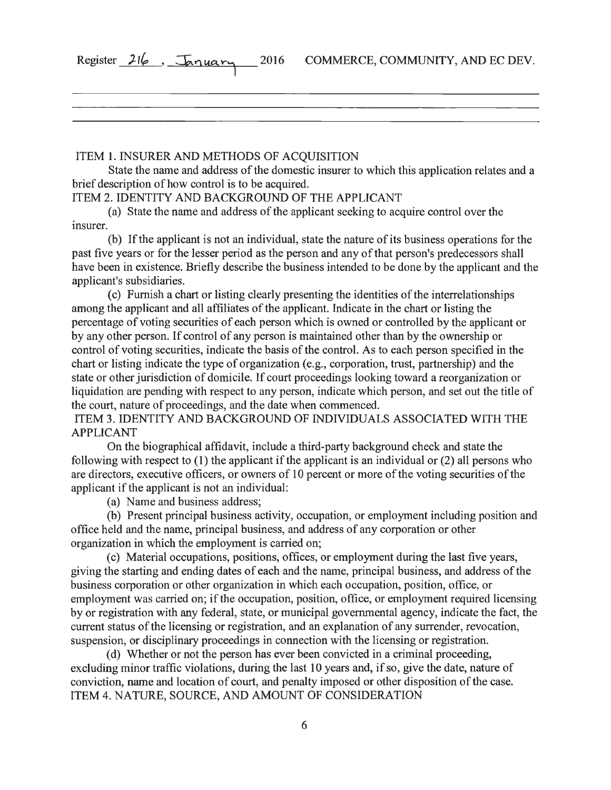| Register | 216 | <u>shiyary</u> |  |
|----------|-----|----------------|--|
|          |     |                |  |

ITEM 1. INSURER AND METHODS OF ACQUISITION

State the name and address of the domestic insurer to which this application relates and a brief description of how control is to be acquired.

ITEM 2. IDENTITY AND BACKGROUND OF THE APPLICANT

(a) State the name and address of the applicant seeking to acquire control over the insurer.

(b) If the applicant is not an individual, state the nature of its business operations for the past five years or for the lesser period as the person and any of that person's predecessors shall have been in existence. Briefly describe the business intended to be done by the applicant and the applicant's subsidiaries.

(c) Furnish a chart or listing clearly presenting the identities of the interrelationships among the applicant and all affiliates of the applicant. Indicate in the chart or listing the percentage of voting securities of each person which is owned or controlled by the applicant or by any other person. If control of any person is maintained other than by the ownership or control of voting securities, indicate the basis of the control. As to each person specified in the chart or listing indicate the type of organization (e.g., corporation, trust, partnership) and the state or other jurisdiction of domicile. If court proceedings looking toward a reorganization or liquidation are pending with respect to any person, indicate which person, and set out the title of the court, nature of proceedings, and the date when commenced.

ITEM 3. IDENTITY AND BACKGROUND OF INDIVIDUALS ASSOCIATED WITH THE APPLICANT

On the biographical affidavit, include a third-party background check and state the following with respect to (1) the applicant if the applicant is an individual or (2) all persons who are directors, executive officers, or owners of 10 percent or more of the voting securities of the applicant if the applicant is not an individual:

(a) Name and business address;

(b) Present principal business activity, occupation, or employment including position and office held and the name, principal business, and address of any corporation or other organization in which the employment is carried on;

( c) Material occupations, positions, offices, or employment during the last five years, giving the starting and ending dates of each and the name, principal business, and address of the business corporation or other organization in which each occupation, position, office, or employment was carried on; if the occupation, position, office, or employment required licensing by or registration with any federal, state, or municipal governmental agency, indicate the fact, the current status of the licensing or registration, and an explanation of any surrender, revocation, suspension, or disciplinary proceedings in connection with the licensing or registration.

( d) Whether or not the person has ever been convicted in a criminal proceeding, excluding minor traffic violations, during the last 10 years and, if so, give the date, nature of conviction, name and location of court, and penalty imposed or other disposition of the case. ITEM 4. NATURE, SOURCE, AND AMOUNT OF CONSIDERATION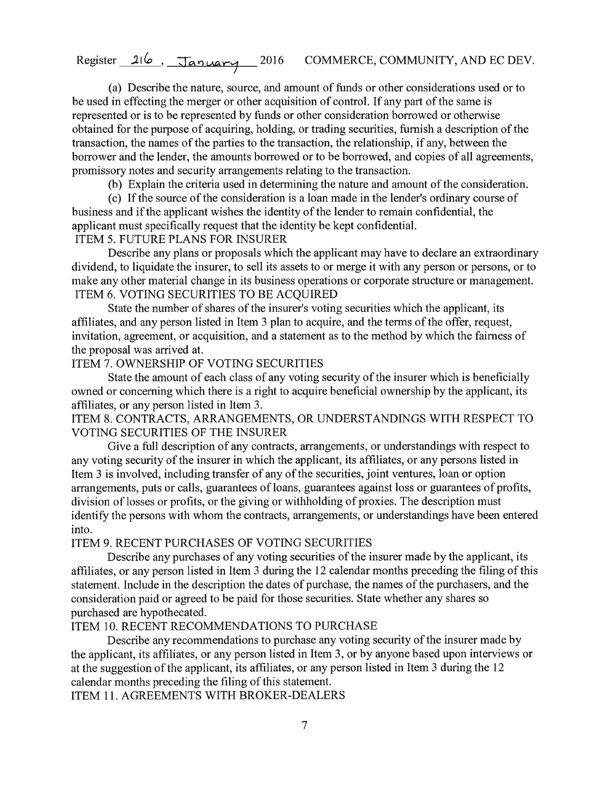(a) Describe the nature, source, and amount of funds or other considerations used or to be used in effecting the merger or other acquisition of control. If any part of the same is represented or is to be represented by funds or other consideration borrowed or otherwise obtained for the purpose of acquiring, holding, or trading securities, furnish a description of the transaction, the names of the parties to the transaction, the relationship, if any, between the borrower and the lender, the amounts borrowed or to be borrowed, and copies of all agreements, promissory notes and security arrangements relating to the transaction.

(b) Explain the criteria used in determining the nature and amount of the consideration.

( c) If the source of the consideration is a loan made in the lender's ordinary course of business and if the applicant wishes the identity of the lender to remain confidential, the applicant must specifically request that the identity be kept confidential. ITEM 5. FUTURE PLANS FOR INSURER

# Describe any plans or proposals which the applicant may have to declare an extraordinary dividend, to liquidate the insurer, to sell its assets to or merge it with any person or persons, or to make any other material change in its business operations or corporate structure or management.

### ITEM 6. VOTING SECURITIES TO BE ACQUIRED

State the number of shares of the insurer's voting securities which the applicant, its affiliates, and any person listed in Item 3 plan to acquire, and the terms of the offer, request, invitation, agreement, or acquisition, and a statement as to the method by which the fairness of the proposal was arrived at.

### ITEM 7. OWNERSHIP OF VOTING SECURITIES

State the amount of each class of any voting security of the insurer which is beneficially owned or concerning which there is a right to acquire beneficial ownership by the applicant, its affiliates, or any person listed in Item 3.

ITEM 8. CONTRACTS, ARRANGEMENTS, OR UNDERSTANDINGS WITH RESPECT TO VOTING SECURITIES OF THE INSURER

Give a full description of any contracts, arrangements, or understandings with respect to any voting security of the insurer in which the applicant, its affiliates, or any persons listed in Item 3 is involved, including transfer of any of the securities, joint ventures, loan or option arrangements, puts or calls, guarantees of loans, guarantees against loss or guarantees of profits, division of losses or profits, or the giving or withholding of proxies. The description must identify the persons with whom the contracts, arrangements, or understandings have been entered into.

## ITEM 9. RECENT PURCHASES OF VOTING SECURITIES

Describe any purchases of any voting securities of the insurer made by the applicant, its affiliates, or any person listed in Item 3 during the 12 calendar months preceding the filing of this statement. Include in the description the dates of purchase, the names of the purchasers, and the consideration paid or agreed to be paid for those securities. State whether any shares so purchased are hypothecated.

## ITEM 10. RECENT RECOMMENDATIONS TO PURCHASE

Describe any recommendations to purchase any voting security of the insurer made by the applicant, its affiliates, or any person listed in Item 3, or by anyone based upon interviews or at the suggestion of the applicant, its affiliates, or any person listed in Item 3 during the 12 calendar months preceding the filing of this statement.

ITEM 11. AGREEMENTS WITH BROKER-DEALERS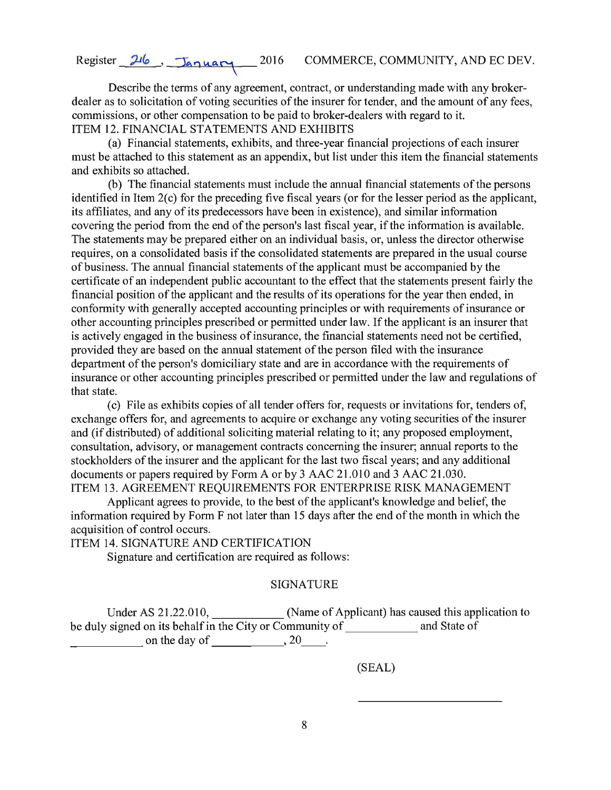Describe the terms of any agreement, contract, or understanding made with any brokerdealer as to solicitation of voting securities of the insurer for tender, and the amount of any fees. commissions, or other compensation to be paid to broker-dealers with regard to it. ITEM 12. FINANCIAL STATEMENTS AND EXHIBITS

(a) Financial statements, exhibits, and three-year financial projections of each insurer must be attached to this statement as an appendix, but list under this item the financial statements and exhibits so attached.

(b) The financial statements must include the annual financial statements of the persons identified in Item 2(c) for the preceding five fiscal years (or for the lesser period as the applicant, its affiliates, and any of its predecessors have been in existence), and similar information covering the period from the end of the person's last fiscal year, if the information is available. The statements may be prepared either on an individual basis, or, unless the director otherwise requires, on a consolidated basis if the consolidated statements are prepared in the usual course of business. The annual financial statements of the applicant must be accompanied by the certificate of an independent public accountant to the effect that the statements present fairly the financial position of the applicant and the results of its operations for the year then ended, in conformity with generally accepted accounting principles or with requirements of insurance or other accounting principles prescribed or permitted under law. If the applicant is an insurer that is actively engaged in the business of insurance, the financial statements need not be certified, provided they are based on the annual statement of the person filed with the insurance department of the person's domiciliary state and are in accordance with the requirements of insurance or other accounting principles prescribed or permitted under the law and regulations of that state.

( c) File as exhibits copies of all tender offers for, requests or invitations for, tenders of, exchange offers for, and agreements to acquire or exchange any voting securities of the insurer and (if distributed) of additional soliciting material relating to it; any proposed employment, consultation, advisory, or management contracts concerning the insurer; annual reports to the stockholders of the insurer and the applicant for the last two fiscal years; and any additional documents or papers required by Form A or by 3 AAC 21.010 and 3 AAC 21.030. ITEM 13. AGREEMENT REQUIREMENTS FOR ENTERPRISE RISK MANAGEMENT

Applicant agrees to provide, to the best of the applicant's knowledge and belief, the information required by Form F not later than 15 days after the end of the month in which the acquisition of control occurs.

ITEM 14. SIGNATURE AND CERTIFICATION

Signature and certification are required as follows:

#### SIGNATURE

Under AS 21.22.010, (Name of Applicant) has caused this application to be duly signed on its behalf in the City or Community of  $\frac{1}{\sqrt{1-\frac{1}{\sqrt{1-\frac{1}{\sqrt{1-\frac{1}{\sqrt{1-\frac{1}{\sqrt{1-\frac{1}{\sqrt{1-\frac{1}{\sqrt{1-\frac{1}{\sqrt{1-\frac{1}{\sqrt{1-\frac{1}{\sqrt{1-\frac{1}{\sqrt{1-\frac{1}{\sqrt{1-\frac{1}{\sqrt{1-\frac{1}{\sqrt{1-\frac{1}{\sqrt{1-\frac{1}{\sqrt{1-\frac{1}{\sqrt{1-\frac{1}{\sqrt{1-\$  $\blacksquare$  on the day of  $\blacksquare$ , 20  $\blacksquare$ .

(SEAL)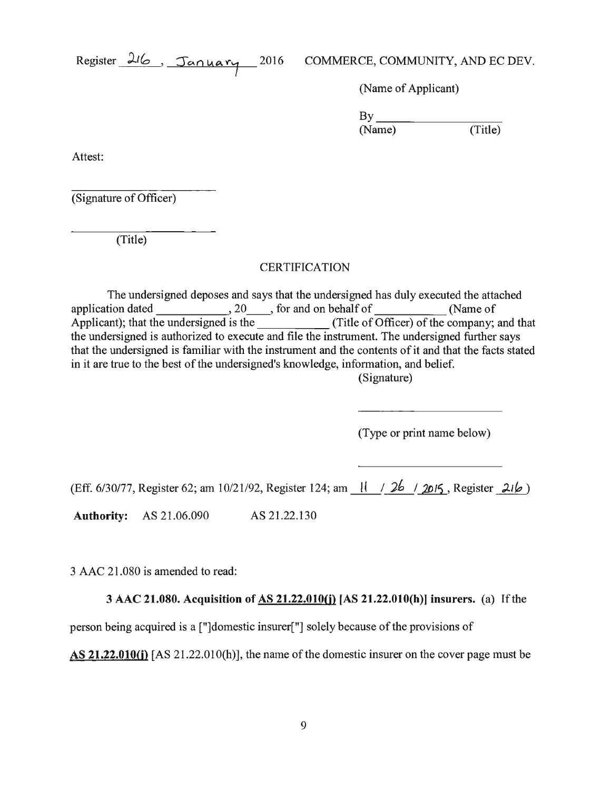(Name of Applicant)

 $\n By \n (Name) \n (Title)$ (Name)

Attest:

(Signature of Officer)

(Title)

## **CERTIFICATION**

The undersigned deposes and says that the undersigned has duly executed the attached application dated 5.20 , for and on behalf of (Name of Applicant); that the undersigned is the (Title of Officer) of the company; and that the undersigned is authorized to execute and file the instrument. The undersigned further says that the undersigned is familiar with the instrument and the contents of it and that the facts stated in it are true to the best of the undersigned's knowledge, information, and belief. (Signature)

(Type or print name below)

(Eff. 6/30/77, Register 62; am 10/21/92, Register 124; am 1. 1. 2. *joulf.* , Register 2. *p.* 

**Authority:** AS 21.06.090 AS 21.22.130

3 AAC 21.080 is amended to read:

3 AAC **21.080. Acquisition of AS 21.22.0lO(j)** [AS **21.22.0lO(h)] insurers.** (a) If the

person being acquired is a ["]domestic insurer["] solely because of the provisions of

**AS 21.22.010(j)** [AS 21.22.010(h)], the name of the domestic insurer on the cover page must be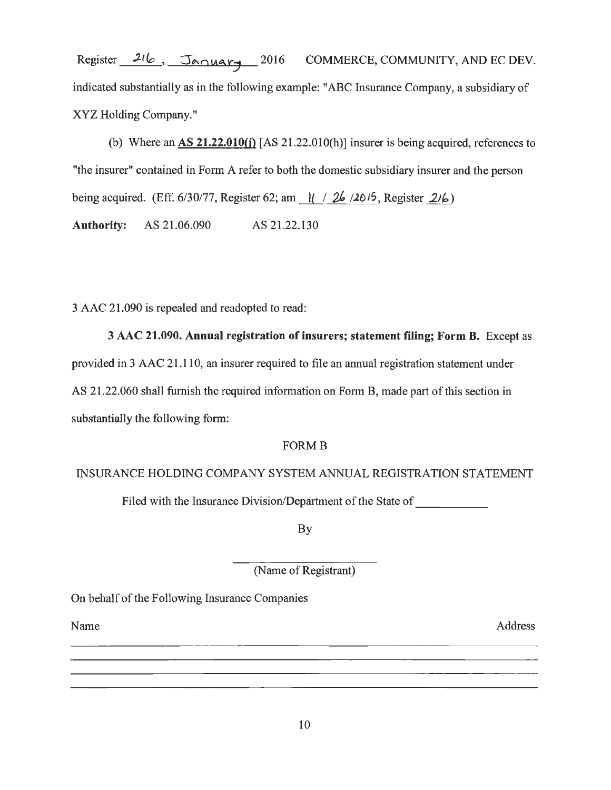Register 216, January 2016 COMMERCE, COMMUNITY, AND EC DEV. indicated substantially as in the following example: "ABC Insurance Company, a subsidiary of XYZ Holding Company."

(b) Where an AS **21.22.0lO(j)** [AS 21.22.0IO(h)] insurer is being acquired, references to "the insurer" contained in Form A refer to both the domestic subsidiary insurer and the person being acquired. (Eff. 6/30/77, Register 62; am  $\left| \frac{1}{26}, \frac{26}{5}, \text{ Register } 216 \right\rangle$ 

**Authority:** AS 21.06.090 AS 21.22.130

3 AAC 21.090 is repealed and readopted to read:

3 AAC **21.090. Annual registration of insurers; statement filing; Form B.** Except as provided in 3 AAC 21.110, an insurer required to file an annual registration statement under AS 21.22.060 shall furnish the required information on Form B, made part of this section in substantially the following form:

# FORMB

## INSURANCE HOLDING COMPANY SYSTEM ANNUAL REGISTRATION STATEMENT

Filed with the Insurance Division/Department of the State of

By

(Name of Registrant)

On behalf of the Following Insurance Companies

Name

Address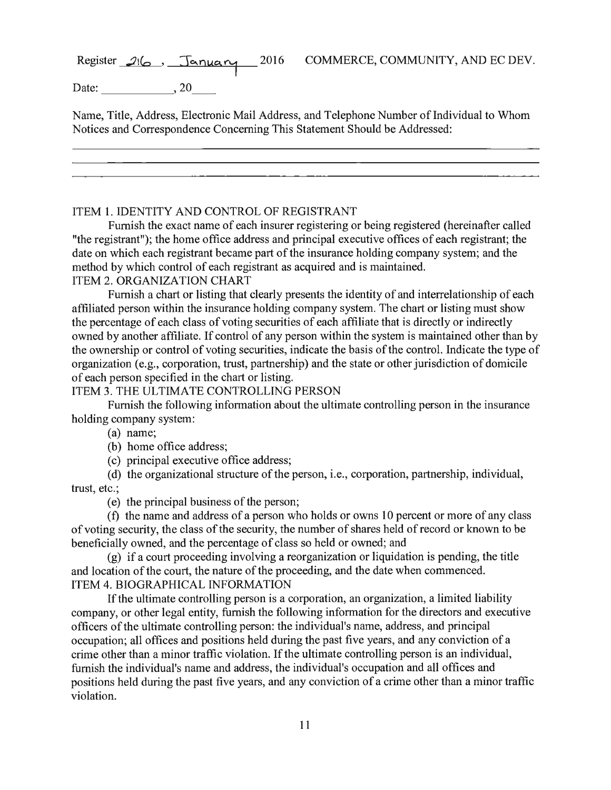Date: 20

Name, Title, Address, Electronic Mail Address, and Telephone Number of Individual to Whom Notices and Correspondence Concerning This Statement Should be Addressed:

#### ITEM 1. IDENTITY AND CONTROL OF REGISTRANT

Furnish the exact name of each insurer registering or being registered (hereinafter called "the registrant"); the home office address and principal executive offices of each registrant; the date on which each registrant became part of the insurance holding company system; and the method by which control of each registrant as acquired and is maintained.

# ITEM 2. ORGANIZATION CHART

Furnish a chart or listing that clearly presents the identity of and interrelationship of each affiliated person within the insurance holding company system. The chart or listing must show the percentage of each class of voting securities of each affiliate that is directly or indirectly owned by another affiliate. If control of any person within the system is maintained other than by the ownership or control of voting securities, indicate the basis of the control. Indicate the type of organization (e.g., corporation, trust, partnership) and the state or other jurisdiction of domicile of each person specified in the chart or listing.

#### ITEM 3. THE ULTIMATE CONTROLLING PERSON

Furnish the following information about the ultimate controlling person in the insurance holding company system:

(a) name;

(b) home office address;

( c) principal executive office address;

(d) the organizational structure of the person, i.e., corporation, partnership, individual, trust, etc.;

( e) the principal business of the person;

( f) the name and address of a person who holds or owns 10 percent or more of any class of voting security, the class of the security, the number of shares held of record or known to be beneficially owned, and the percentage of class so held or owned; and

(g) if a court proceeding involving a reorganization or liquidation is pending, the title and location of the court, the nature of the proceeding, and the date when commenced. ITEM 4. BIOGRAPHICAL INFORMATION

If the ultimate controlling person is a corporation, an organization, a limited liability company, or other legal entity, furnish the following information for the directors and executive officers of the ultimate controlling person: the individual's name, address, and principal occupation; all offices and positions held during the past five years, and any conviction of a crime other than a minor traffic violation. If the ultimate controlling person is an individual, furnish the individual's name and address, the individual's occupation and all offices and positions held during the past five years, and any conviction of a crime other than a minor traffic violation.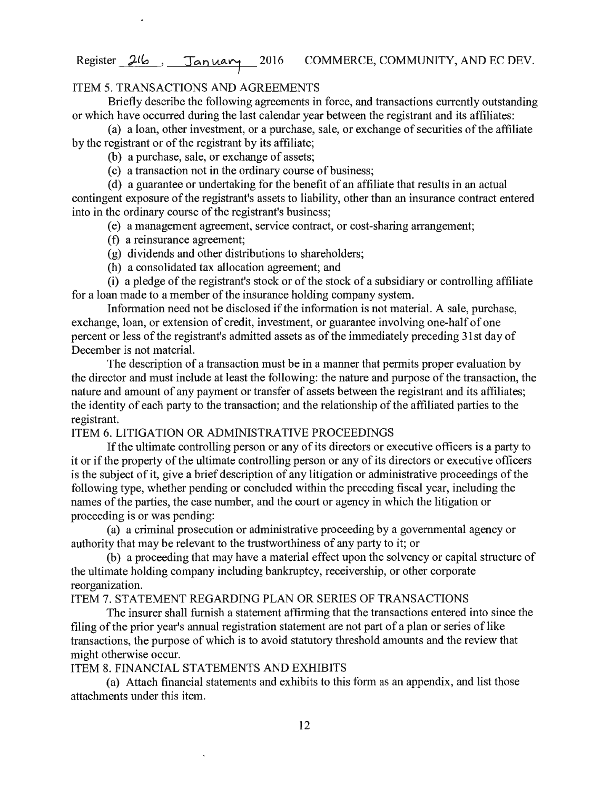## ITEM 5. TRANSACTIONS AND AGREEMENTS

Briefly describe the following agreements in force, and transactions currently outstanding or which have occurred during the last calendar year between the registrant and its affiliates:

(a) a loan, other investment, or a purchase, sale, or exchange of securities of the affiliate by the registrant or of the registrant by its affiliate;

(b) a purchase, sale, or exchange of assets;

(c) a transaction not in the ordinary course of business;

( d) a guarantee or undertaking for the benefit of an affiliate that results in an actual contingent exposure of the registrant's assets to liability, other than an insurance contract entered into in the ordinary course of the registrant's business;

(e) a management agreement, service contract, or cost-sharing arrangement;

- ( f) a reinsurance agreement;
- (g) dividends and other distributions to shareholders;
- (h) a consolidated tax allocation agreement; and

(i) a pledge of the registrant's stock or of the stock of a subsidiary or controlling affiliate for a loan made to a member of the insurance holding company system.

Information need not be disclosed if the information is not material. A sale, purchase, exchange, loan, or extension of credit, investment, or guarantee involving one-half of one percent or less of the registrant's admitted assets as of the immediately preceding 31st day of December is not material.

The description of a transaction must be in a manner that permits proper evaluation by the director and must include at least the following: the nature and purpose of the transaction, the nature and amount of any payment or transfer of assets between the registrant and its affiliates; the identity of each party to the transaction; and the relationship of the affiliated parties to the registrant.

#### ITEM 6. LITIGATION OR ADMINISTRATIVE PROCEEDINGS

If the ultimate controlling person or any of its directors or executive officers is a party to it or if the property of the ultimate controlling person or any of its directors or executive officers is the subject of it, give a brief description of any litigation or administrative proceedings of the following type, whether pending or concluded within the preceding fiscal year, including the names of the parties, the case number, and the court or agency in which the litigation or proceeding is or was pending:

(a) a criminal prosecution or administrative proceeding by a governmental agency or authority that may be relevant to the trustworthiness of any party to it; or

(b) a proceeding that may have a material effect upon the solvency or capital structure of the ultimate holding company including bankruptcy, receivership, or other corporate reorganization.

#### ITEM 7. STATEMENT REGARDING PLAN OR SERIES OF TRANSACTIONS

The insurer shall furnish a statement affirming that the transactions entered into since the filing of the prior year's annual registration statement are not part of a plan or series of like transactions, the purpose of which is to avoid statutory threshold amounts and the review that might otherwise occur.

## ITEM 8. FINANCIAL STATEMENTS AND EXHIBITS

(a) Attach financial statements and exhibits to this form as an appendix, and list those attachments under this item.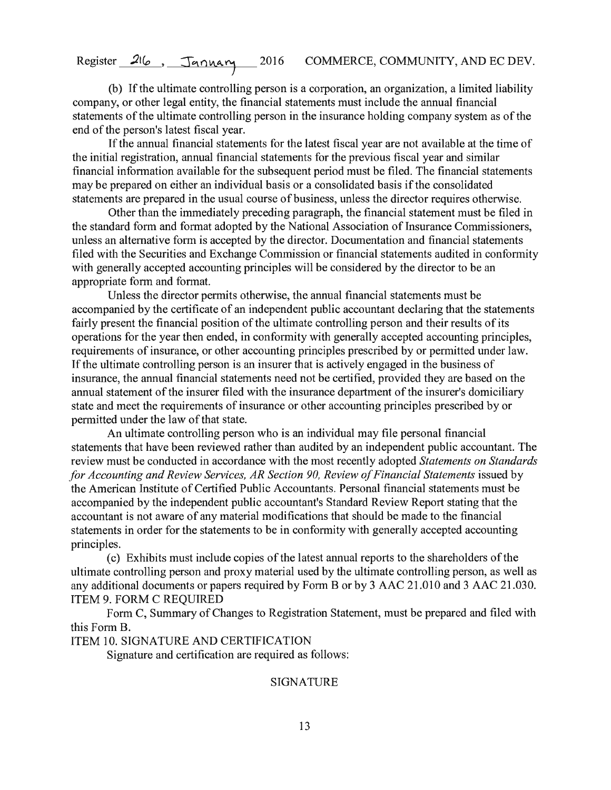(b) If the ultimate controlling person is a corporation, an organization, a limited liability company, or other legal entity, the financial statements must include the annual financial statements of the ultimate controlling person in the insurance holding company system as of the end of the person's latest fiscal year.

If the annual financial statements for the latest fiscal year are not available at the time of the initial registration, annual financial statements for the previous fiscal year and similar financial information available for the subsequent period must be filed. The financial statements may be prepared on either an individual basis or a consolidated basis if the consolidated statements are prepared in the usual course of business, unless the director requires otherwise.

Other than the immediately preceding paragraph, the financial statement must be filed in the standard form and format adopted by the National Association of Insurance Commissioners, unless an alternative form is accepted by the director. Documentation and financial statements filed with the Securities and Exchange Commission or financial statements audited in conformity with generally accepted accounting principles will be considered by the director to be an appropriate form and format.

Unless the director permits otherwise, the annual financial statements must be accompanied by the certificate of an independent public accountant declaring that the statements fairly present the financial position of the ultimate controlling person and their results of its operations for the year then ended, in conformity with generally accepted accounting principles, requirements of insurance, or other accounting principles prescribed by or permitted under law. If the ultimate controlling person is an insurer that is actively engaged in the business of insurance, the annual financial statements need not be certified, provided they are based on the annual statement of the insurer filed with the insurance department of the insurer's domiciliary state and meet the requirements of insurance or other accounting principles prescribed by or permitted under the law of that state.

An ultimate controlling person who is an individual may file personal financial statements that have been reviewed rather than audited by an independent public accountant. The review must be conducted in accordance with the most recently adopted *Statements on Standards for Accounting and Review Services, AR Section 90, Review of Financial Statements* issued by the American Institute of Certified Public Accountants. Personal financial statements must be accompanied by the independent public accountant's Standard Review Report stating that the accountant is not aware of any material modifications that should be made to the financial statements in order for the statements to be in conformity with generally accepted accounting principles.

( c) Exhibits must include copies of the latest annual reports to the shareholders of the ultimate controlling person and proxy material used by the ultimate controlling person, as well as any additional documents or papers required by Form B or by 3 AAC 21.010 and 3 AAC 21.030. ITEM 9. FORM C REQUIRED

Form C, Summary of Changes to Registration Statement, must be prepared and filed with this Form B.

ITEM 10. SIGNATURE AND CERTIFICATION

Signature and certification are required as follows:

#### SIGNATURE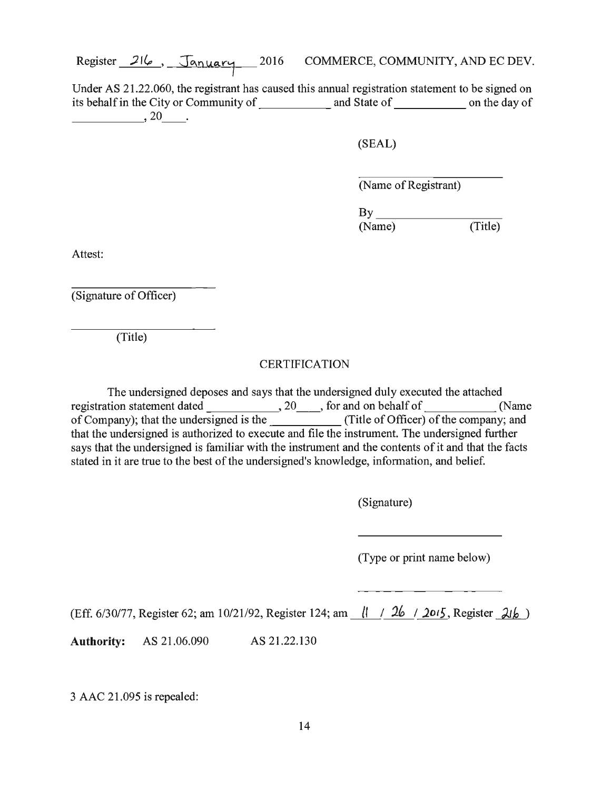Under AS 21.22.060, the registrant has caused this annual registration statement to be signed on its behalf in the City or Community of  $\frac{1}{\sqrt{1-\frac{1}{n}}}$  and State of  $\frac{1}{\sqrt{1-\frac{1}{n}}}$  on the day of

(SEAL)

(Name of Registrant)

 $By$ <sub>\_\_\_\_</sub> (Title) (Name)

Attest:

(Signature of Officer)

(Title)

### **CERTIFICATION**

The undersigned deposes and says that the undersigned duly executed the attached registration statement dated , 20 \_\_ , for and on behalf of (Name of Company); that the undersigned is the \_\_\_\_\_\_\_\_\_\_\_\_\_(Title of Officer) of the company; and that the undersigned is authorized to execute and file the instrument. The undersigned further says that the undersigned is familiar with the instrument and the contents of it and that the facts stated in it are true to the best of the undersigned's knowledge, information, and belief.

(Signature)

(Type or print name below)

(Eff. 6/30/77, Register 62; am 10/21/92, Register 124; am /I I *\_2k\_;* <sup>2015</sup> , Register *J.tk* )

**Authority:** AS 21.06.090 AS 21.22.130

3 AAC 21.095 is repealed: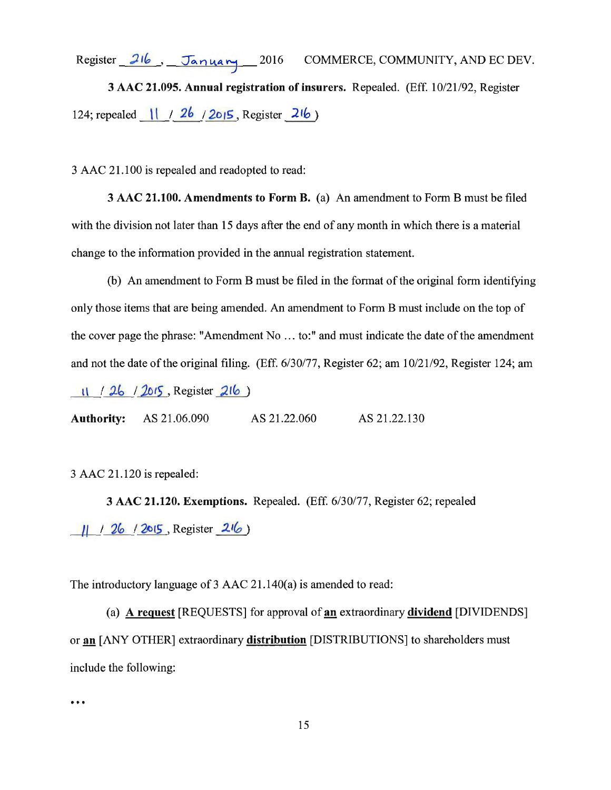Register 216, January 2016 COMMERCE, COMMUNITY, AND EC DEV. 3 AAC 21.095. Annual registration of insurers. Repealed. (Eff. 10/21/92, Register 124; repealed  $\frac{11}{26}$  / 26 / 2015, Register 216)

3 AAC 21.100 is repealed and readopted to read:

3 AAC 21.100. Amendments to Form B. (a) An amendment to Form B must be filed with the division not later than 15 days after the end of any month in which there is a material change to the information provided in the annual registration statement.

(b) An amendment to Form B must be filed in the format of the original form identifying only those items that are being amended. An amendment to Form B must include on the top of the cover page the phrase: "Amendment No ... to:" and must indicate the date of the amendment and not the date of the original filing. (Eff. 6/30/77, Register 62; am 10/21/92, Register 124; am 11 / 26 / 2015, Register 216

Authority: AS 21.06.090 AS 21.22.060 AS 21.22.130

3 AAC 21.120 is repealed:

3 AAC 21.120. Exemptions. Repealed. (Eff. 6/30/77, Register 62; repealed  $11 / 26 / 2015$ , Register  $216$ )

The introductory language of 3 AAC 21.140(a) is amended to read:

(a) A request [REQUESTS] for approval of an extraordinary dividend [DIVIDENDS] or an [ANY OTHER] extraordinary distribution [DISTRIBUTIONS] to shareholders must include the following:

 $...$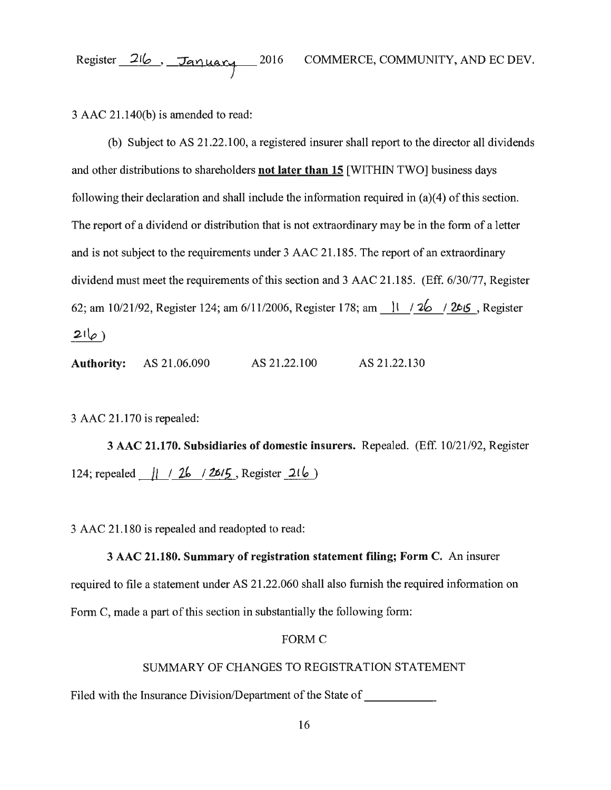$3$  AAC  $21.140(b)$  is amended to read:

(b) Subject to AS 21.22.100, a registered insurer shall report to the director all dividends and other distributions to shareholders **not later than 15** [WITHIN TWO] business days following their declaration and shall include the information required in (a)(4) of this section. The report of a dividend or distribution that is not extraordinary may be in the form of a letter and is not subject to the requirements under 3 AAC 21.185. The report of an extraordinary dividend must meet the requirements of this section and 3 AAC 21.185. (Eff. 6/30/77, Register 62; am 10/21/92, Register 124; am 6/11/2006, Register 178; am \_ l\_l *\_/A\_j* 2015 , Register  $21\varphi$ )

**Authority:** AS 21.06.090 AS 21.22.100 AS 21.22.130

3 AAC 21.170 is repealed:

3 AAC **21.170. Subsidiaries of domestic insurers.** Repealed. (Eff. 10/21 /92, Register 124; repealed <u>| | | 26 | 26/5</u>, Register 216 )

3 AAC 21.180 is repealed and readopted to read:

# 3 AAC **21.180. Summary of registration statement filing; Form** C. An insurer required to file a statement under AS 21.22.060 shall also furnish the required information on Form C, made a part of this section in substantially the following form:

#### FORMC

## SUMMARY OF CHANGES TO REGISTRATION STATEMENT

Filed with the Insurance Division/Department of the State of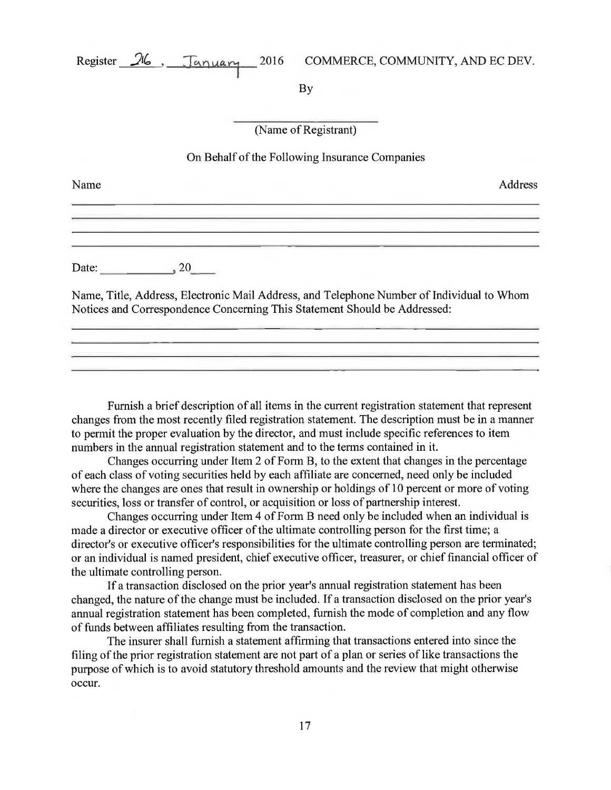By

(Name of Registrant)

#### On Behalf of the Following Insurance Companies

<u> La Carlo de Carlo de la Carlo de la Carlo de la Carlo de la Carlo de la Carlo de la Carlo de la Carlo de la C</u>

Name Address

Date:  $20$ 

Name, Title, Address, Electronic Mail Address, and Telephone Number of Individual to Whom Notices and Correspondence Concerning This Statement Should be Addressed:

<u>a sa mga pagalang ng mga sangguna ng mga pagbagayang ng mga pagpagayang ng mga pagpagayang ng mga paggalang ng </u>

Furnish a brief description of all items in the current registration statement that represent changes from the most recently filed registration statement. The description must be in a manner to permit the proper evaluation by the director, and must include specific references to item numbers in the annual registration statement and to the terms contained in it.

Changes occurring under Item 2 of Form B, to the extent that changes in the percentage of each class of voting securities held by each affiliate are concerned, need only be included where the changes are ones that result in ownership or holdings of 10 percent or more of voting securities, loss or transfer of control, or acquisition or loss of partnership interest.

Changes occurring under Item 4 of Form B need only be included when an individual is made a director or executive officer of the ultimate controlling person for the first time; a director's or executive officer's responsibilities for the ultimate controlling person are terminated; or an individual is named president, chief executive officer, treasurer, or chief financial officer of the ultimate controlling person.

If a transaction disclosed on the prior year's annual registration statement has been changed, the nature of the change must be included. If a transaction disclosed on the prior year's annual registration statement has been completed, furnish the mode of completion and any flow of funds between affiliates resulting from the transaction.

The insurer shall furnish a statement affirming that transactions entered into since the filing of the prior registration statement are not part of a plan or series of like transactions the purpose of which is to avoid statutory threshold amounts and the review that might otherwise occur.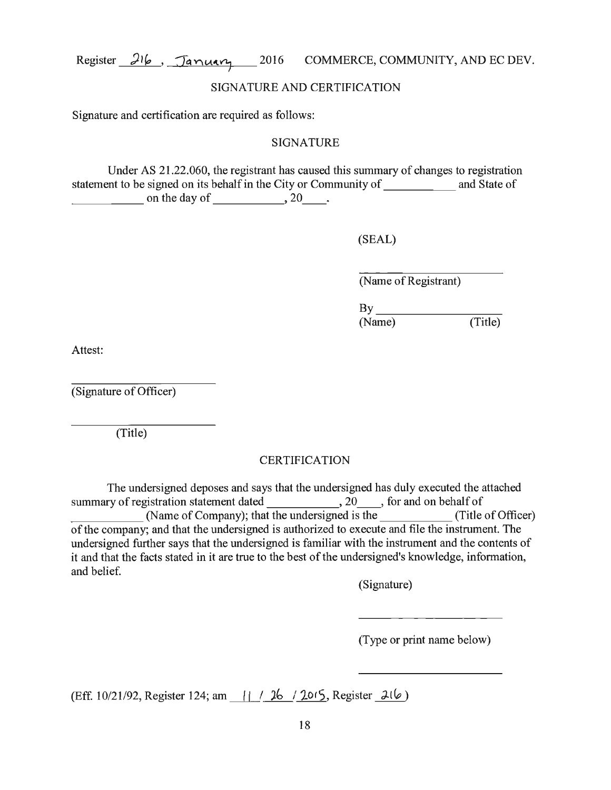## SIGNATURE AND CERTIFICATION

Signature and certification are required as follows:

## SIGNATURE

Under AS 21.22.060, the registrant has caused this summary of changes to registration statement to be signed on its behalf in the City or Community of and State of on the day of  $\frac{20}{\epsilon}$ .

(SEAL)

(Name of Registrant)

 $\mathbf{B}$ y (Name)

(Title)

Attest:

(Signature of Officer)

(Title)

# CERTIFICATION

The undersigned deposes and says that the undersigned has duly executed the attached summary of registration statement dated 20 \_\_ , for and on behalf of (Name of Company); that the undersigned is the (Title of Officer) of the company; and that the undersigned is authorized to execute and file the instrument. The undersigned further says that the undersigned is familiar with the instrument and the contents of it and that the facts stated in it are true to the best of the undersigned's knowledge, information, and belief.

(Signature)

(Type or print name below)

(Eff. 10/21/92, Register 124; am  $\left| \frac{1}{26} \right|$ . **10**<sup>5</sup>, Register *J. (b)*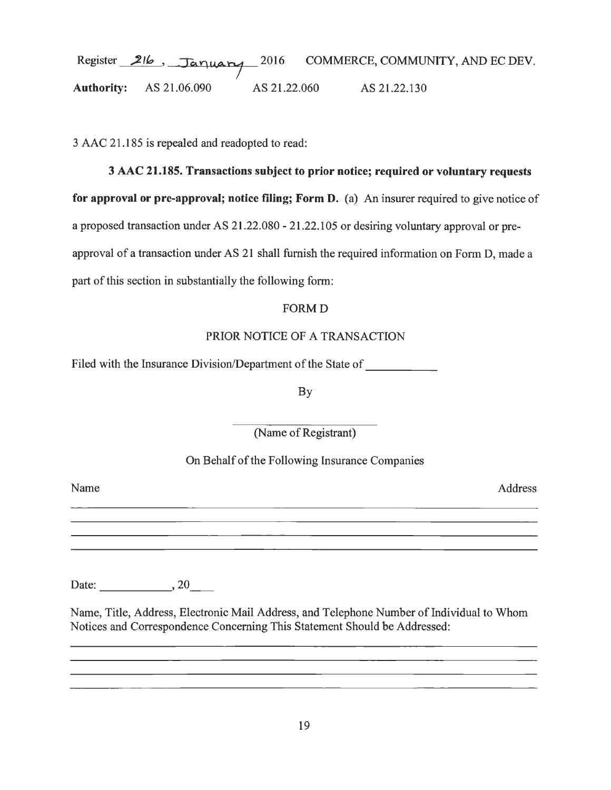# Register 216, January 2016 Authority: AS 21.06.090 AS 21.22.060 AS 21.22.130 COMMERCE, COMMUNITY, AND EC DEV.

3 AAC 21.185 is repealed and readopted to read:

# 3 AAC 21.185. Transactions subject to prior notice; required or voluntary requests

for approval or pre-approval; notice filing; Form D. (a) An insurer required to give notice of a proposed transaction under AS 21.22.080 - 21.22.105 or desiring voluntary approval or preapproval of a transaction under AS 21 shall furnish the required information on Form D, made a part of this section in substantially the following form:

# FORMD

# PRIOR NOTICE OF A TRANSACTION

Filed with the Insurance Division/Department of the State of

By

(Name of Registrant)

# On Behalf of the Following Insurance Companies

Name Address

Date: 1. 20

Name, Title, Address, Electronic Mail Address, and Telephone Number of Individual to Whom Notices and Correspondence Concerning This Statement Should be Addressed:

<u> 1989 - Johann Stoff, deutscher Stoff, der Stoff, der Stoff, der Stoff, der Stoff, der Stoff, der Stoff, der S</u>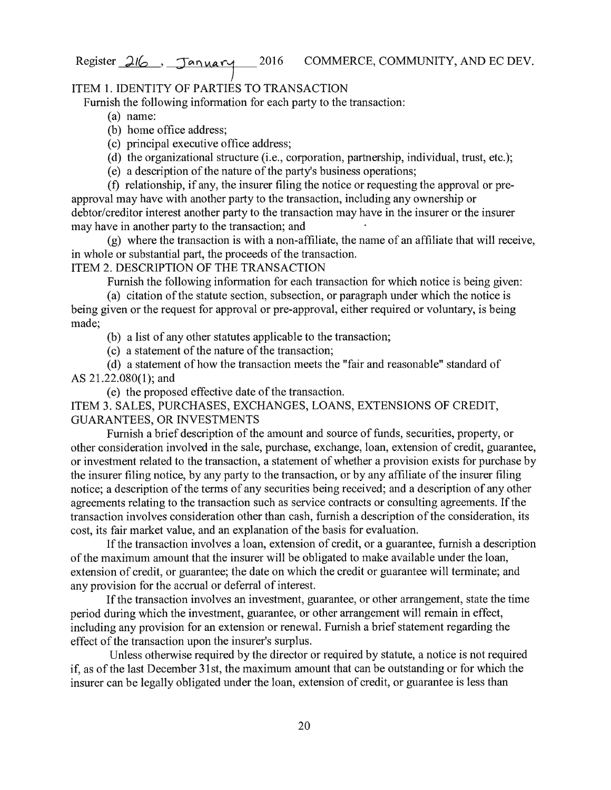## ITEM 1. IDENTITY OF PARTIES TO TRANSACTION

Furnish the following information for each party to the transaction:

- (a) name:
- (b) home office address;
- ( c) principal executive office address;
- (d) the organizational structure (i.e., corporation, partnership, individual, trust, etc.);
- (e) a description of the nature of the party's business operations;

(f) relationship, if any, the insurer filing the notice or requesting the approval or preapproval may have with another party to the transaction, including any ownership or debtor/creditor interest another party to the transaction may have in the insurer or the insurer may have in another party to the transaction; and

(g) where the transaction is with a non-affiliate, the name of an affiliate that will receive, in whole or substantial part, the proceeds of the transaction.

## ITEM 2. DESCRIPTION OF THE TRANSACTION

Furnish the following information for each transaction for which notice is being given:

(a) citation of the statute section, subsection, or paragraph under which the notice is being given or the request for approval or pre-approval, either required or voluntary, is being made;

(b) a list of any other statutes applicable to the transaction;

( c) a statement of the nature of the transaction;

(d) a statement of how the transaction meets the "fair and reasonable" standard of AS 21.22.080(1); and

( e) the proposed effective date of the transaction.

ITEM 3. SALES, PURCHASES, EXCHANGES, LOANS, EXTENSIONS OF CREDIT, GUARANTEES, OR INVESTMENTS

Furnish a brief description of the amount and source of funds, securities, property, or other consideration involved in the sale, purchase, exchange, loan, extension of credit, guarantee, or investment related to the transaction, a statement of whether a provision exists for purchase by the insurer filing notice, by any party to the transaction, or by any affiliate of the insurer filing notice; a description of the terms of any securities being received; and a description of any other agreements relating to the transaction such as service contracts or consulting agreements. If the transaction involves consideration other than cash, furnish a description of the consideration, its cost, its fair market value, and an explanation of the basis for evaluation.

If the transaction involves a loan, extension of credit, or a guarantee, furnish a description of the maximum amount that the insurer will be obligated to make available under the loan, extension of credit, or guarantee; the date on which the credit or guarantee will terminate; and any provision for the accrual or deferral of interest.

If the transaction involves an investment, guarantee, or other arrangement, state the time period during which the investment, guarantee, or other arrangement will remain in effect, including any provision for an extension or renewal. Furnish a brief statement regarding the effect of the transaction upon the insurer's surplus.

Unless otherwise required by the director or required by statute, a notice is not required if, as of the last December 31st, the maximum amount that can be outstanding or for which the insurer can be legally obligated under the loan, extension of credit, or guarantee is less than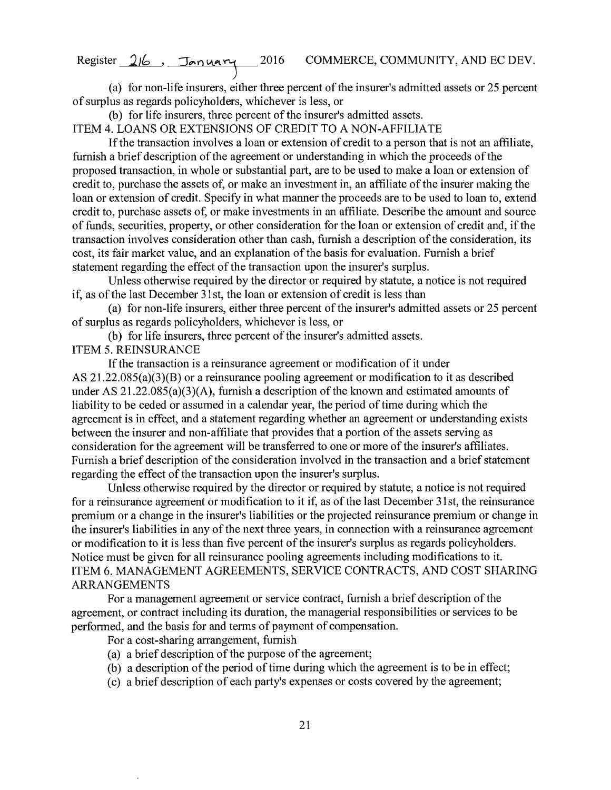(a) for non-life insurers, either three percent of the insurer's admitted assets or 25 percent of surplus as regards policyholders, whichever is less, or

(b) for life insurers, three percent of the insurer's admitted assets.

ITEM 4. LOANS OR EXTENSIONS OF CREDIT TO A NON-AFFILIATE

If the transaction involves a loan or extension of credit to a person that is not an affiliate, furnish a brief description of the agreement or understanding in which the proceeds of the proposed transaction, in whole or substantial part, are to be used to make a loan or extension of credit to, purchase the assets of, or make an investment in, an affiliate of the insurer making the loan or extension of credit. Specify in what manner the proceeds are to be used to loan to, extend credit to, purchase assets of, or make investments in an affiliate. Describe the amount and source of funds, securities, property, or other consideration for the loan or extension of credit and, if the transaction involves consideration other than cash, furnish a description of the consideration, its cost, its fair market value, and an explanation of the basis for evaluation. Furnish a brief statement regarding the effect of the transaction upon the insurer's surplus.

Unless otherwise required by the director or required by statute, a notice is not required if, as of the last December 31st, the loan or extension of credit is less than

(a) for non-life insurers, either three percent of the insurer's admitted assets or 25 percent of surplus as regards policyholders, whichever is less, or

(b) for life insurers, three percent of the insurer's admitted assets.

ITEM 5. REINSURANCE

If the transaction is a reinsurance agreement or modification of it under AS 21.22.085(a)(3)(B) or a reinsurance pooling agreement or modification to it as described under AS 21.22.085(a)(3)(A), furnish a description of the known and estimated amounts of liability to be ceded or assumed in a calendar year, the period of time during which the agreement is in effect, and a statement regarding whether an agreement or understanding exists between the insurer and non-affiliate that provides that a portion of the assets serving as consideration for the agreement will be transferred to one or more of the insurer's affiliates. Furnish a brief description of the consideration involved in the transaction and a brief statement regarding the effect of the transaction upon the insurer's surplus.

Unless otherwise required by the director or required by statute, a notice is not required for a reinsurance agreement or modification to it if, as of the last December 31st, the reinsurance premium or a change in the insurer's liabilities or the projected reinsurance premium or change in the insurer's liabilities in any of the next three years, in connection with a reinsurance agreement or modification to it is less than five percent of the insurer's surplus as regards policyholders. Notice must be given for all reinsurance pooling agreements including modifications to it. ITEM 6. MANAGEMENT AGREEMENTS, SERVICE CONTRACTS, AND COST SHARING ARRANGEMENTS

For a management agreement or service contract, furnish a brief description of the agreement, or contract including its duration, the managerial responsibilities or services to be performed, and the basis for and terms of payment of compensation.

For a cost-sharing arrangement, furnish

- (a) a brief description of the purpose of the agreement;
- (b) a description of the period of time during which the agreement is to be in effect;
- ( c) a brief description of each party's expenses or costs covered by the agreement;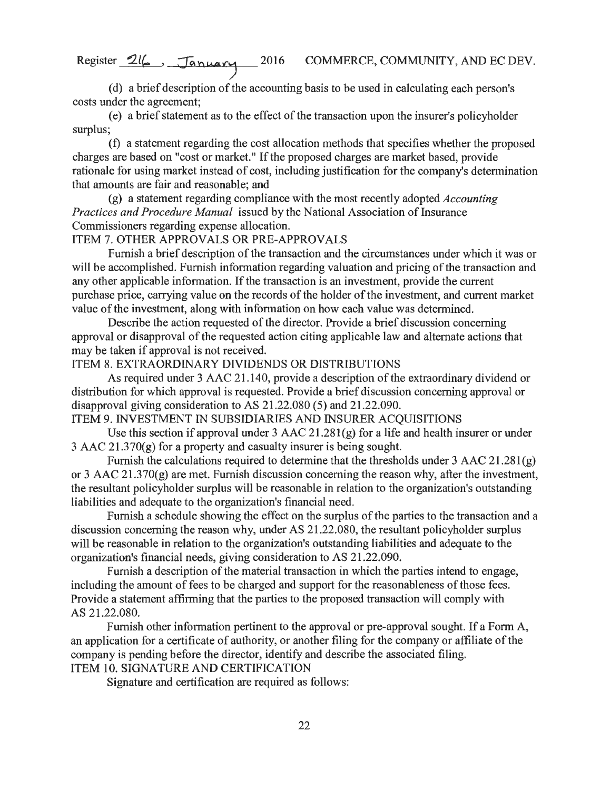( d) a brief description of the accounting basis to be used in calculating each person's costs under the agreement;

( e) a brief statement as to the effect of the transaction upon the insurer's policyholder surplus;

(f) a statement regarding the cost allocation methods that specifies whether the proposed charges are based on "cost or market." If the proposed charges are market based, provide rationale for using market instead of cost, including justification for the company's determination that amounts are fair and reasonable; and

(g) a statement regarding compliance with the most recently adopted *Accounting Practices and Procedure Manual* issued by the National Association of Insurance Commissioners regarding expense allocation.

## ITEM 7. OTHER APPROVALS OR PRE-APPROVALS

Furnish a brief description of the transaction and the circumstances under which it was or will be accomplished. Furnish information regarding valuation and pricing of the transaction and any other applicable information. If the transaction is an investment, provide the current purchase price, carrying value on the records of the holder of the investment, and current market value of the investment, along with information on how each value was determined.

Describe the action requested of the director. Provide a brief discussion concerning approval or disapproval of the requested action citing applicable law and alternate actions that may be taken if approval is not received.

ITEM 8. EXTRAORDINARY DIVIDENDS OR DISTRIBUTIONS

As required under 3 AAC 21.140, provide a description of the extraordinary dividend or distribution for which approval is requested. Provide a brief discussion concerning approval or disapproval giving consideration to AS 21.22.080 (5) and 21.22.090.

ITEM 9. INVESTMENT IN SUBSIDIARIES AND INSURER ACQUISITIONS

Use this section if approval under  $3$  AAC  $21.281(g)$  for a life and health insurer or under  $3$  AAC  $21.370(g)$  for a property and casualty insurer is being sought.

Furnish the calculations required to determine that the thresholds under 3 AAC 21.28l(g) or 3 AAC 21.370(g) are met. Furnish discussion concerning the reason why, after the investment, the resultant policyholder surplus will be reasonable in relation to the organization's outstanding liabilities and adequate to the organization's financial need.

Furnish a schedule showing the effect on the surplus of the parties to the transaction and a discussion concerning the reason why, under AS 21.22.080, the resultant policyholder surplus will be reasonable in relation to the organization's outstanding liabilities and adequate to the organization's financial needs, giving consideration to AS 21.22.090.

Furnish a description of the material transaction in which the parties intend to engage, including the amount of fees to be charged and support for the reasonableness of those fees. Provide a statement affirming that the parties to the proposed transaction will comply with AS 21.22.080.

Furnish other information pertinent to the approval or pre-approval sought. If a Form A, an application for a certificate of authority, or another filing for the company or affiliate of the company is pending before the director, identify and describe the associated filing. ITEM 10. SIGNATURE AND CERTIFICATION

Signature and certification are required as follows: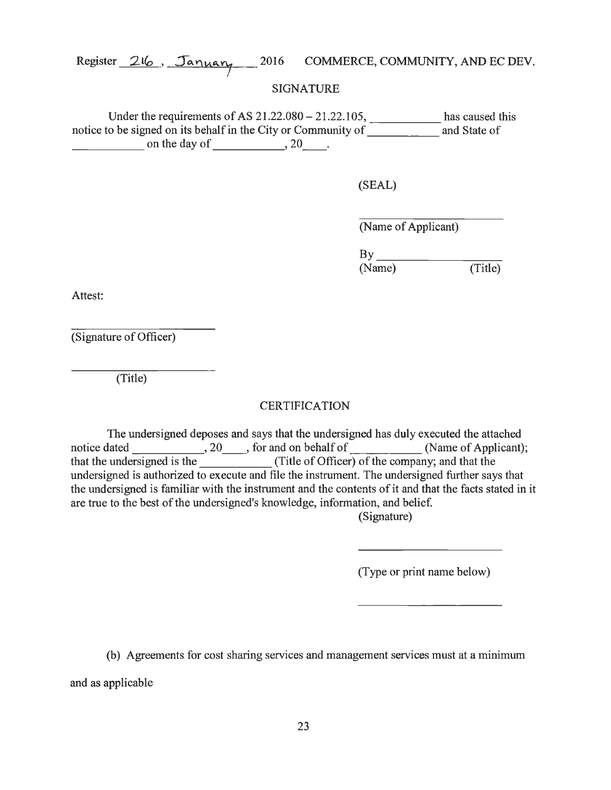## SIGNATURE

Under the requirements of AS  $21.22.080 - 21.22.105$ , has caused this notice to be signed on its behalf in the City or Community of and State of  $\frac{1}{2}$  on the day of  $\frac{1}{20}$ .

(SEAL)

(Name of Applicant)

(Name) (Title)

Attest:

(Signature of Officer)

(Title)

# **CERTIFICATION**

The undersigned deposes and says that the undersigned has duly executed the attached Ine undersigned deposes and says that the undersigned has duty executed the attached<br>notice dated \_\_\_\_\_\_\_\_\_\_\_\_\_\_, 20 \_\_\_, for and on behalf of \_\_\_\_\_\_\_\_\_\_\_\_\_(Name of Applicant); that the undersigned is the \_\_\_\_\_\_\_\_\_\_\_\_\_\_(Title of Officer) of the company; and that the undersigned is authorized to execute and file the instrument. The undersigned further says that the undersigned is familiar with the instrument and the contents of it and that the facts stated in it are true to the best of the undersigned's knowledge, information, and belief.

(Signature)

(Type or print name below)

(b) Agreements for cost sharing services and management services must at a minimum

and as applicable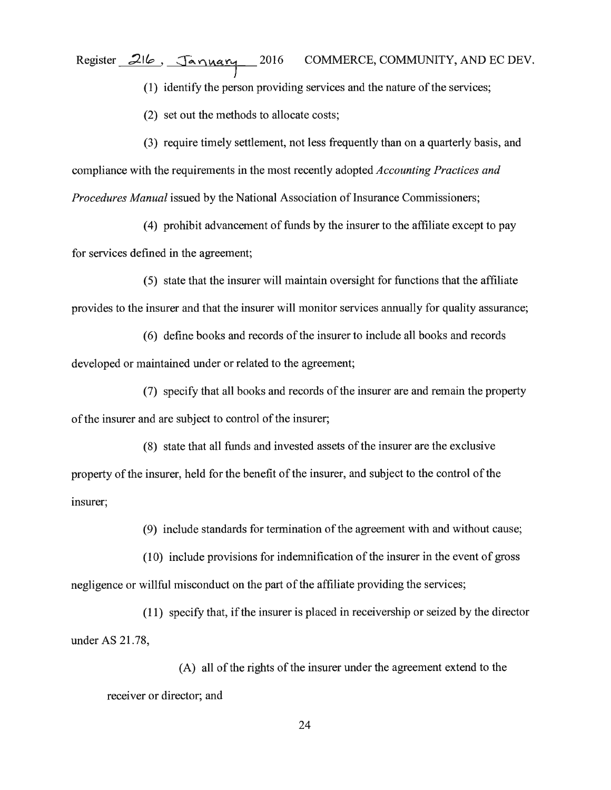(1) identify the person providing services and the nature of the services;

(2) set out the methods to allocate costs;

(3) require timely settlement, not less frequently than on a quarterly basis, and compliance with the requirements in the most recently adopted *Accounting Practices and Procedures Manual* issued by the National Association of Insurance Commissioners;

(4) prohibit advancement of funds by the insurer to the affiliate except to pay for services defined in the agreement;

( 5) state that the insurer will maintain oversight for functions that the affiliate provides to the insurer and that the insurer will monitor services annually for quality assurance;

(6) define books and records of the insurer to include all books and records

developed or maintained under or related to the agreement;

(7) specify that all books and records of the insurer are and remain the property of the insurer and are subject to control of the insurer;

(8) state that all funds and invested assets of the insurer are the exclusive property of the insurer, held for the benefit of the insurer, and subject to the control of the insurer;

(9) include standards for termination of the agreement with and without cause;

(10) include provisions for indemnification of the insurer in the event of gross negligence or willful misconduct on the part of the affiliate providing the services;

(11) specify that, ifthe insurer is placed in receivership or seized by the director under AS 21.78,

(A) all of the rights of the insurer under the agreement extend to the receiver or director; and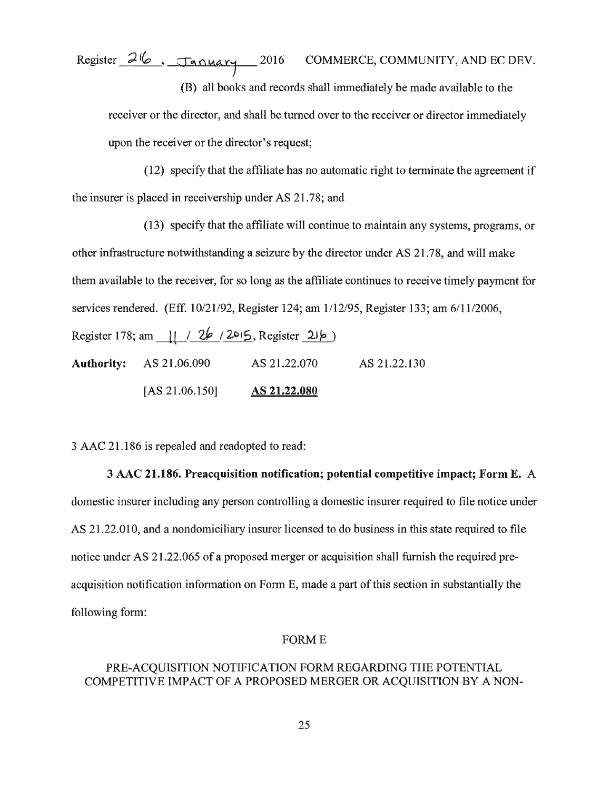Register 216, *January* 2016 COMMERCE, COMMUNITY, AND EC DEV. (B) all books and records shall immediately be made available to the receiver or the director, and shall be turned over to the receiver or director immediately

upon the receiver or the director's request;

(12) specify that the affiliate has no automatic right to terminate the agreement if the insurer is placed in receivership under AS 21. 78; and

(13) specify that the affiliate will continue to maintain any systems, programs, or other infrastructure notwithstanding a seizure by the director under AS 21. 78, and will make them available to the receiver, for so long as the affiliate continues to receive timely payment for services rendered. (Eff. 10/21/92, Register 124; am 1/12/95, Register 133; am 6/11/2006, Register 178; am | | /  $26$  / 2015, Register 21 *p*) **Authority:** AS 21.06.090 AS 21.22.070 AS 21.22.130 [AS 21.06.150] **AS 21.22.080** 

3 AAC 21.186 is repealed and readopted to read:

#### 3 AAC **21.186. Preacquisition notification; potential competitive impact; Form E.** A

domestic insurer including any person controlling a domestic insurer required to file notice under AS 21.22.010, and a nondomiciliary insurer licensed to do business in this state required to file notice under AS 21.22.065 of a proposed merger or acquisition shall furnish the required preacquisition notification information on Form E, made a part of this section in substantially the following form:

#### FORME

## PRE-ACQUISITION NOTIFICATION FORM REGARDING THE POTENTIAL COMPETITIVE IMPACT OF A PROPOSED MERGER OR ACQUISITION BY A NON-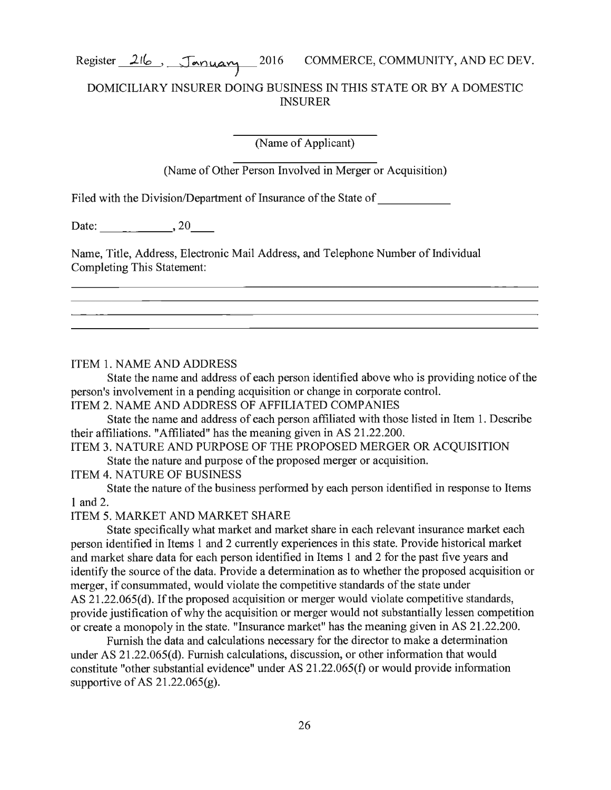## DOMICILIARY INSURER DOING BUSINESS IN THIS STATE OR BY A DOMESTIC **INSURER**

(Name of Applicant)

(Name of Other Person Involved in Merger or Acquisition)

Filed with the Division/Department of Insurance of the State of

Date:  $\_\_$ , 20

Name, Title, Address, Electronic Mail Address, and Telephone Number of Individual Completing This Statement:

ITEM 1. NAME AND ADDRESS

State the name and address of each person identified above who is providing notice of the person's involvement in a pending acquisition or change in corporate control.

ITEM 2. NAME AND ADDRESS OF AFFILIATED COMPANIES

State the name and address of each person affiliated with those listed in Item 1. Describe their affiliations. "Affiliated" has the meaning given in AS 21.22.200.

ITEM 3. NATURE AND PURPOSE OF THE PROPOSED MERGER OR ACQUISITION State the nature and purpose of the proposed merger or acquisition.

ITEM 4. NATURE OF BUSINESS

State the nature of the business performed by each person identified in response to Items 1and2.

ITEM 5. MARKET AND MARKET SHARE

State specifically what market and market share in each relevant insurance market each person identified in Items 1 and 2 currently experiences in this state. Provide historical market and market share data for each person identified in Items 1 and 2 for the past five years and identify the source of the data. Provide a determination as to whether the proposed acquisition or merger, if consummated, would violate the competitive standards of the state under AS 21.22.065(d). If the proposed acquisition or merger would violate competitive standards, provide justification of why the acquisition or merger would not substantially lessen competition or create a monopoly in the state. "Insurance market" has the meaning given in AS 21.22.200.

Furnish the data and calculations necessary for the director to make a determination under AS 21.22.065(d). Furnish calculations, discussion, or other information that would constitute "other substantial evidence" under AS 21.22.065(f) or would provide information supportive of AS  $21.22.065(g)$ .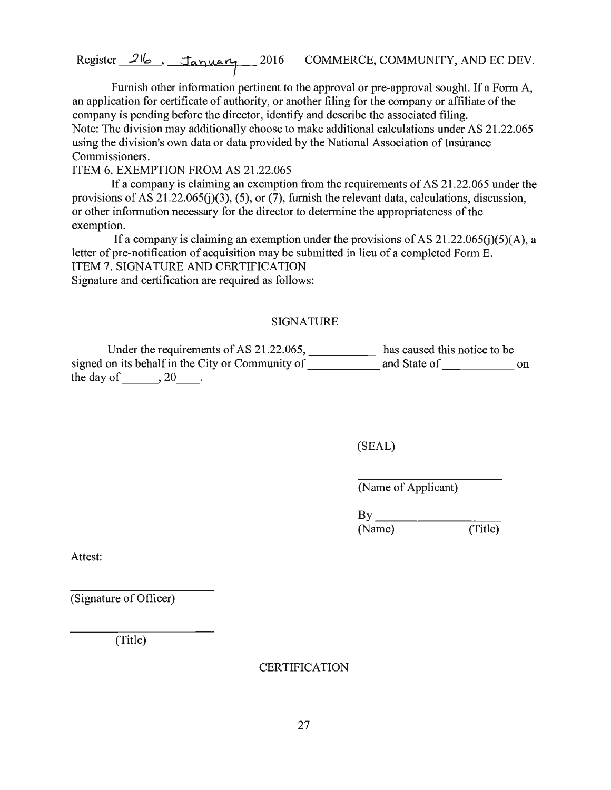Furnish other information pertinent to the approval or pre-approval sought. If a Form A, an application for certificate of authority, or another filing for the company or affiliate of the company is pending before the director, identify and describe the associated filing. Note: The division may additionally choose to make additional calculations under AS 21.22.065 using the division's own data or data provided by the National Association of Insurance Commissioners.

ITEM 6. EXEMPTION FROM AS 21.22.065

If a company is claiming an exemption from the requirements of AS 21.22.065 under the provisions of AS 21.22.065(j)(3), (5), or (7), furnish the relevant data, calculations, discussion, or other information necessary for the director to detennine the appropriateness of the exemption.

If a company is claiming an exemption under the provisions of AS  $21.22.065(i)(5)(A)$ , a letter of pre-notification of acquisition may be submitted in lieu of a completed Form E. ITEM 7. SIGNATURE AND CERTIFICATION Signature and certification are required as follows:

#### SIGNATURE

Under the requirements of AS 21.22.065, \_\_\_\_\_\_\_\_\_\_\_\_\_ has caused this notice to be signed on its behalf in the City or Community of \_\_\_\_\_\_\_\_\_\_\_\_ and State of \_\_\_\_\_\_\_\_\_\_\_\_ on the day of  $\qquad \qquad , 20$ .

(SEAL)

(Name of Applicant)

 $\frac{By}{(Name)}$   $(Title)$ (Name)

Attest:

(Signature of Officer)

(Title)

**CERTIFICATION**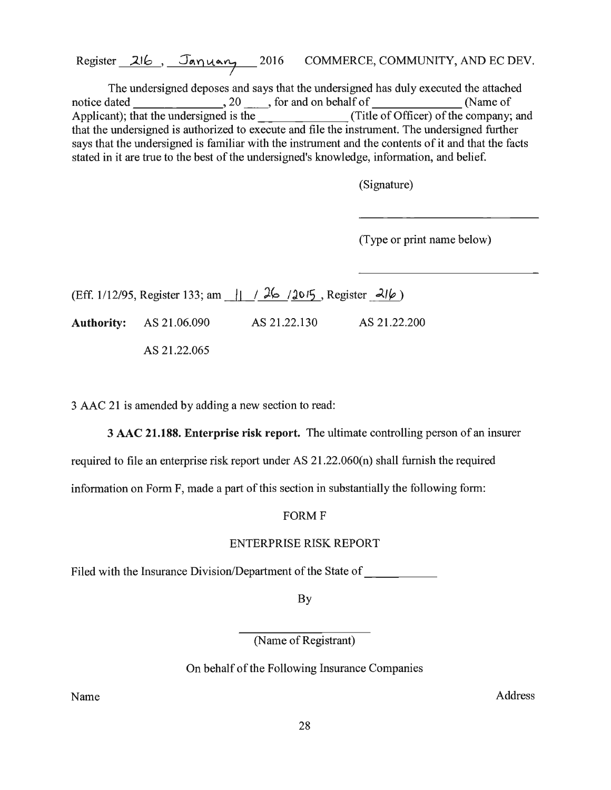The undersigned deposes and says that the undersigned has duly executed the attached notice dated 20 \_\_ , for and on behalf of (Name of Applicant); that the undersigned is the (Title of Officer) of the company; and that the undersigned is authorized to execute and file the instrument. The undersigned further says that the undersigned is familiar with the instrument and the contents of it and that the facts stated in it are true to the best of the undersigned's knowledge, information, and belief.

(Signature)

(Type or print name below)

(Eff. 1/12/95, Register 133; am  $||$  / 26 / 10/5, Register 2lb) **Authority:** AS 21.06.090 AS 21.22.130 AS 21.22.200

AS 21.22.065

3 AAC 21 is amended by adding a new section to read:

3 AAC **21.188. Enterprise risk report.** The ultimate controlling person of an insurer

required to file an enterprise risk report under AS 21.22.060(n) shall furnish the required

information on Form F, made a part of this section in substantially the following form:

#### FORM F

#### ENTERPRISE RISK REPORT

Filed with the Insurance Division/Department of the State of \_\_\_\_\_\_\_\_\_\_\_\_\_

By

(Name of Registrant)

On behalf of the Following Insurance Companies

Name Address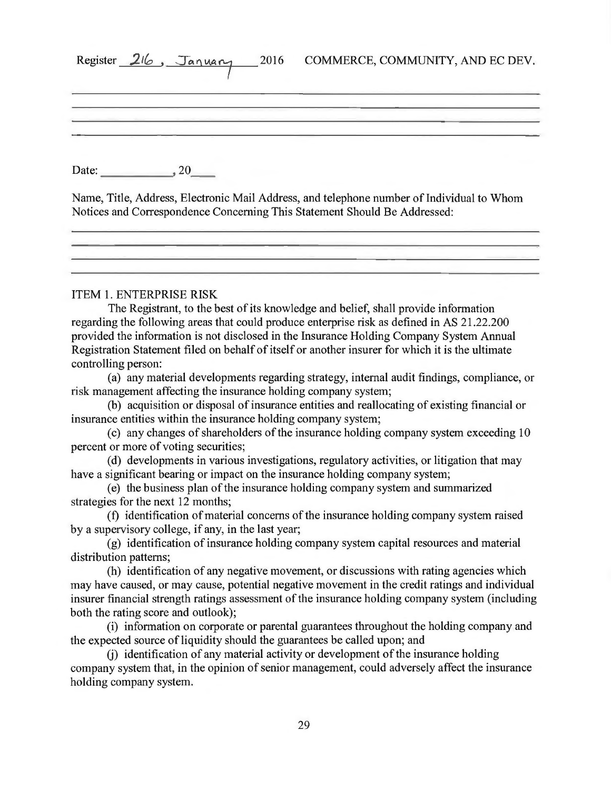| Register 216, January 2016<br>COMMERCE, COMMUNITY, AND EC DEV.                                                                                                                                                                                                                                                                                                                                                                                                                                                                                                                                                                                                                                                                                                                                                                                                                                                                                                                                                                                                                                                                                                                                                                                                                                                                                                                                                                                                                                                                                                                                                                                                                                                                                                                                                                                                                                                                                                                                                                                                                                                                                                                                                            |  |
|---------------------------------------------------------------------------------------------------------------------------------------------------------------------------------------------------------------------------------------------------------------------------------------------------------------------------------------------------------------------------------------------------------------------------------------------------------------------------------------------------------------------------------------------------------------------------------------------------------------------------------------------------------------------------------------------------------------------------------------------------------------------------------------------------------------------------------------------------------------------------------------------------------------------------------------------------------------------------------------------------------------------------------------------------------------------------------------------------------------------------------------------------------------------------------------------------------------------------------------------------------------------------------------------------------------------------------------------------------------------------------------------------------------------------------------------------------------------------------------------------------------------------------------------------------------------------------------------------------------------------------------------------------------------------------------------------------------------------------------------------------------------------------------------------------------------------------------------------------------------------------------------------------------------------------------------------------------------------------------------------------------------------------------------------------------------------------------------------------------------------------------------------------------------------------------------------------------------------|--|
| Date: $20$<br>Name, Title, Address, Electronic Mail Address, and telephone number of Individual to Whom<br>Notices and Correspondence Concerning This Statement Should Be Addressed:<br><u> 1989 - Andrea Stadt Andrea Stadt Andrea Stadt Andrea Stadt Andrea Stadt Andrea Stadt Andrea Stadt Andrea Stadt</u>                                                                                                                                                                                                                                                                                                                                                                                                                                                                                                                                                                                                                                                                                                                                                                                                                                                                                                                                                                                                                                                                                                                                                                                                                                                                                                                                                                                                                                                                                                                                                                                                                                                                                                                                                                                                                                                                                                            |  |
| <b>ITEM 1. ENTERPRISE RISK</b><br>The Registrant, to the best of its knowledge and belief, shall provide information<br>regarding the following areas that could produce enterprise risk as defined in AS 21.22.200<br>provided the information is not disclosed in the Insurance Holding Company System Annual<br>Registration Statement filed on behalf of itself or another insurer for which it is the ultimate<br>controlling person:<br>(a) any material developments regarding strategy, internal audit findings, compliance, or<br>risk management affecting the insurance holding company system;<br>(b) acquisition or disposal of insurance entities and reallocating of existing financial or<br>insurance entities within the insurance holding company system;<br>(c) any changes of shareholders of the insurance holding company system exceeding 10<br>percent or more of voting securities;<br>(d) developments in various investigations, regulatory activities, or litigation that may<br>have a significant bearing or impact on the insurance holding company system;<br>(e) the business plan of the insurance holding company system and summarized<br>strategies for the next 12 months;<br>(f) identification of material concerns of the insurance holding company system raised<br>by a supervisory college, if any, in the last year;<br>(g) identification of insurance holding company system capital resources and material<br>distribution patterns;<br>(h) identification of any negative movement, or discussions with rating agencies which<br>may have caused, or may cause, potential negative movement in the credit ratings and individual<br>insurer financial strength ratings assessment of the insurance holding company system (including<br>both the rating score and outlook);<br>(i) information on corporate or parental guarantees throughout the holding company and<br>the expected source of liquidity should the guarantees be called upon; and<br>(j) identification of any material activity or development of the insurance holding<br>company system that, in the opinion of senior management, could adversely affect the insurance<br>holding company system. |  |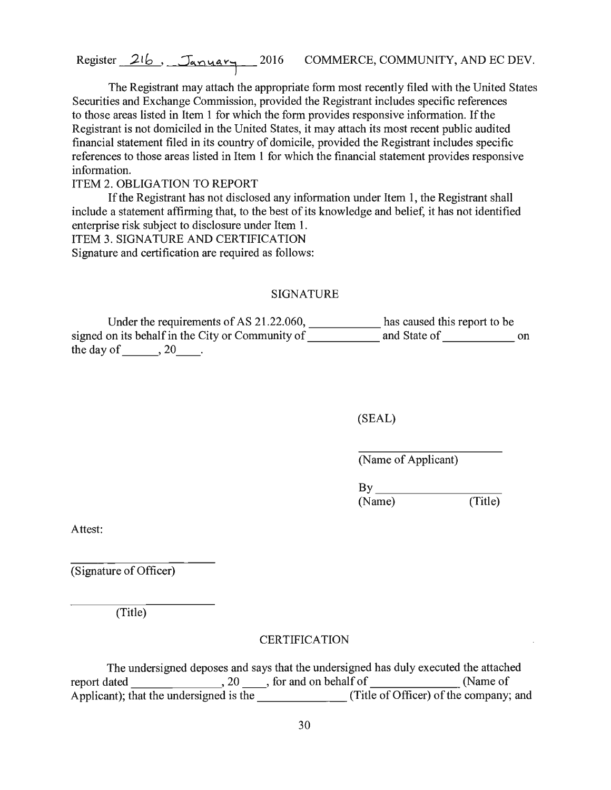The Registrant may attach the appropriate form most recently filed with the United States Securities and Exchange Commission, provided the Registrant includes specific references to those areas listed in Item 1 for which the form provides responsive information. If the Registrant is not domiciled in the United States, it may attach its most recent public audited financial statement filed in its country of domicile, provided the Registrant includes specific references to those areas listed in Item 1 for which the financial statement provides responsive information.

ITEM 2. OBLIGATION TO REPORT

If the Registrant has not disclosed any information under Item 1, the Registrant shall include a statement affirming that, to the best of its knowledge and belief, it has not identified enterprise risk subject to disclosure under Item 1. ITEM 3. SIGNATURE AND CERTIFICATION Signature and certification are required as follows:

#### SIGNATURE

Under the requirements of AS 21.22.060, \_\_\_\_\_\_\_\_\_\_\_\_ has caused this report to be signed on its behalf in the City or Community of \_\_\_\_\_\_\_\_\_\_\_\_ and State of \_\_\_\_\_\_\_\_\_\_\_\_ on the day of  $\_\_\_$ , 20 $\_\_\_$ .

(SEAL)

(Name of Applicant)

 $\text{By}$ <br>(Name) (Title) (Name)

Attest:

(Signature of Officer)

(Title)

#### **CERTIFICATION**

The undersigned deposes and says that the undersigned has duly executed the attached report dated 20 \_\_ , for and on behalf of (Name of Applicant); that the undersigned is the (Title of Officer) of the company; and